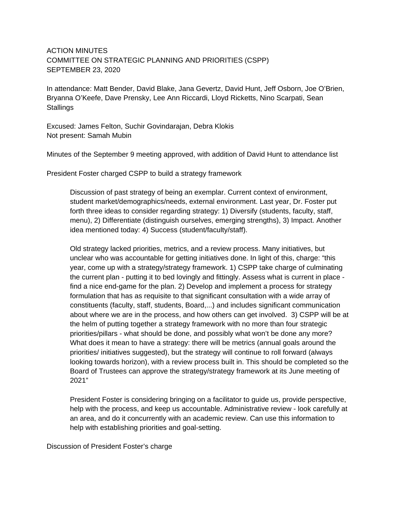## ACTION MINUTES COMMITTEE ON STRATEGIC PLANNING AND PRIORITIES (CSPP) SEPTEMBER 23, 2020

In attendance: Matt Bender, David Blake, Jana Gevertz, David Hunt, Jeff Osborn, Joe O'Brien, Bryanna O'Keefe, Dave Prensky, Lee Ann Riccardi, Lloyd Ricketts, Nino Scarpati, Sean **Stallings** 

Excused: James Felton, Suchir Govindarajan, Debra Klokis Not present: Samah Mubin

Minutes of the September 9 meeting approved, with addition of David Hunt to attendance list

President Foster charged CSPP to build a strategy framework

Discussion of past strategy of being an exemplar. Current context of environment, student market/demographics/needs, external environment. Last year, Dr. Foster put forth three ideas to consider regarding strategy: 1) Diversify (students, faculty, staff, menu), 2) Differentiate (distinguish ourselves, emerging strengths), 3) Impact. Another idea mentioned today: 4) Success (student/faculty/staff).

Old strategy lacked priorities, metrics, and a review process. Many initiatives, but unclear who was accountable for getting initiatives done. In light of this, charge: "this year, come up with a strategy/strategy framework. 1) CSPP take charge of culminating the current plan - putting it to bed lovingly and fittingly. Assess what is current in place find a nice end-game for the plan. 2) Develop and implement a process for strategy formulation that has as requisite to that significant consultation with a wide array of constituents (faculty, staff, students, Board,...) and includes significant communication about where we are in the process, and how others can get involved. 3) CSPP will be at the helm of putting together a strategy framework with no more than four strategic priorities/pillars - what should be done, and possibly what won't be done any more? What does it mean to have a strategy: there will be metrics (annual goals around the priorities/ initiatives suggested), but the strategy will continue to roll forward (always looking towards horizon), with a review process built in. This should be completed so the Board of Trustees can approve the strategy/strategy framework at its June meeting of 2021"

President Foster is considering bringing on a facilitator to guide us, provide perspective, help with the process, and keep us accountable. Administrative review - look carefully at an area, and do it concurrently with an academic review. Can use this information to help with establishing priorities and goal-setting.

Discussion of President Foster's charge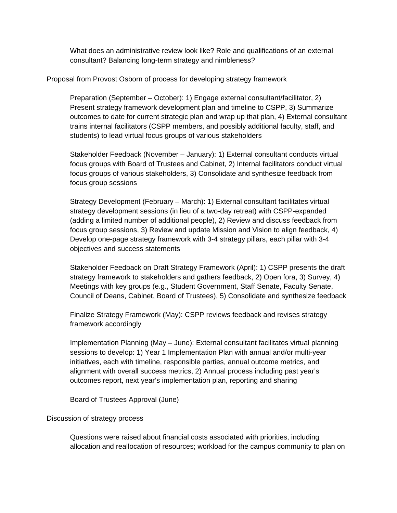What does an administrative review look like? Role and qualifications of an external consultant? Balancing long-term strategy and nimbleness?

## Proposal from Provost Osborn of process for developing strategy framework

Preparation (September – October): 1) Engage external consultant/facilitator, 2) Present strategy framework development plan and timeline to CSPP, 3) Summarize outcomes to date for current strategic plan and wrap up that plan, 4) External consultant trains internal facilitators (CSPP members, and possibly additional faculty, staff, and students) to lead virtual focus groups of various stakeholders

Stakeholder Feedback (November – January): 1) External consultant conducts virtual focus groups with Board of Trustees and Cabinet, 2) Internal facilitators conduct virtual focus groups of various stakeholders, 3) Consolidate and synthesize feedback from focus group sessions

Strategy Development (February – March): 1) External consultant facilitates virtual strategy development sessions (in lieu of a two-day retreat) with CSPP-expanded (adding a limited number of additional people), 2) Review and discuss feedback from focus group sessions, 3) Review and update Mission and Vision to align feedback, 4) Develop one-page strategy framework with 3-4 strategy pillars, each pillar with 3-4 objectives and success statements

Stakeholder Feedback on Draft Strategy Framework (April): 1) CSPP presents the draft strategy framework to stakeholders and gathers feedback, 2) Open fora, 3) Survey, 4) Meetings with key groups (e.g., Student Government, Staff Senate, Faculty Senate, Council of Deans, Cabinet, Board of Trustees), 5) Consolidate and synthesize feedback

Finalize Strategy Framework (May): CSPP reviews feedback and revises strategy framework accordingly

Implementation Planning (May – June): External consultant facilitates virtual planning sessions to develop: 1) Year 1 Implementation Plan with annual and/or multi-year initiatives, each with timeline, responsible parties, annual outcome metrics, and alignment with overall success metrics, 2) Annual process including past year's outcomes report, next year's implementation plan, reporting and sharing

Board of Trustees Approval (June)

## Discussion of strategy process

Questions were raised about financial costs associated with priorities, including allocation and reallocation of resources; workload for the campus community to plan on